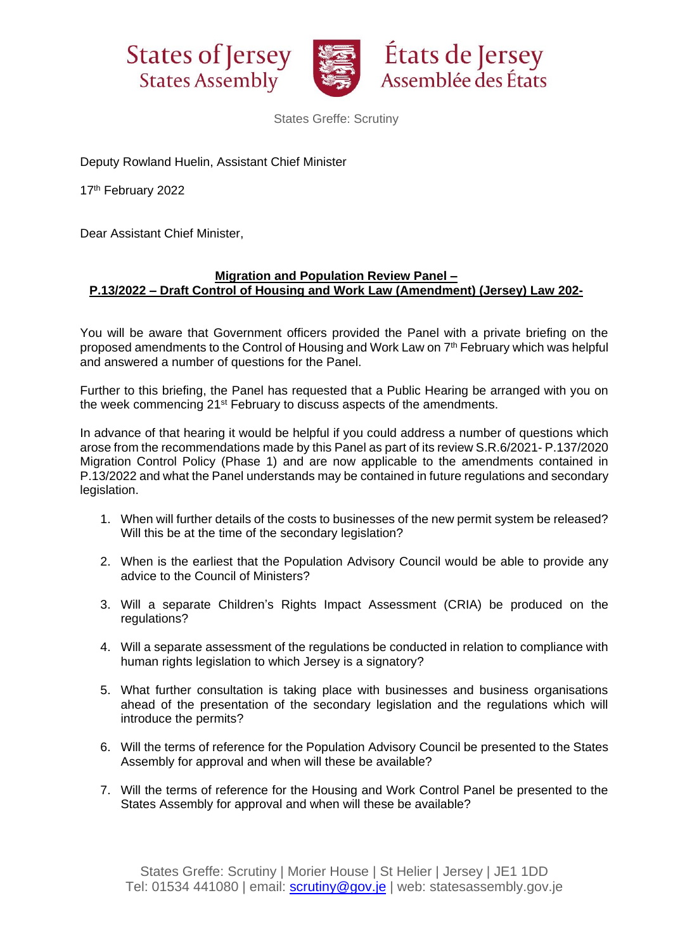



États de Jersey Assemblée des États

States Greffe: Scrutiny

Deputy Rowland Huelin, Assistant Chief Minister

17<sup>th</sup> February 2022

Dear Assistant Chief Minister,

## **Migration and Population Review Panel – P.13/2022 – Draft Control of Housing and Work Law (Amendment) (Jersey) Law 202-**

You will be aware that Government officers provided the Panel with a private briefing on the proposed amendments to the Control of Housing and Work Law on 7<sup>th</sup> February which was helpful and answered a number of questions for the Panel.

Further to this briefing, the Panel has requested that a Public Hearing be arranged with you on the week commencing 21st February to discuss aspects of the amendments.

In advance of that hearing it would be helpful if you could address a number of questions which arose from the recommendations made by this Panel as part of its review S.R.6/2021- P.137/2020 Migration Control Policy (Phase 1) and are now applicable to the amendments contained in P.13/2022 and what the Panel understands may be contained in future regulations and secondary legislation.

- 1. When will further details of the costs to businesses of the new permit system be released? Will this be at the time of the secondary legislation?
- 2. When is the earliest that the Population Advisory Council would be able to provide any advice to the Council of Ministers?
- 3. Will a separate Children's Rights Impact Assessment (CRIA) be produced on the regulations?
- 4. Will a separate assessment of the regulations be conducted in relation to compliance with human rights legislation to which Jersey is a signatory?
- 5. What further consultation is taking place with businesses and business organisations ahead of the presentation of the secondary legislation and the regulations which will introduce the permits?
- 6. Will the terms of reference for the Population Advisory Council be presented to the States Assembly for approval and when will these be available?
- 7. Will the terms of reference for the Housing and Work Control Panel be presented to the States Assembly for approval and when will these be available?